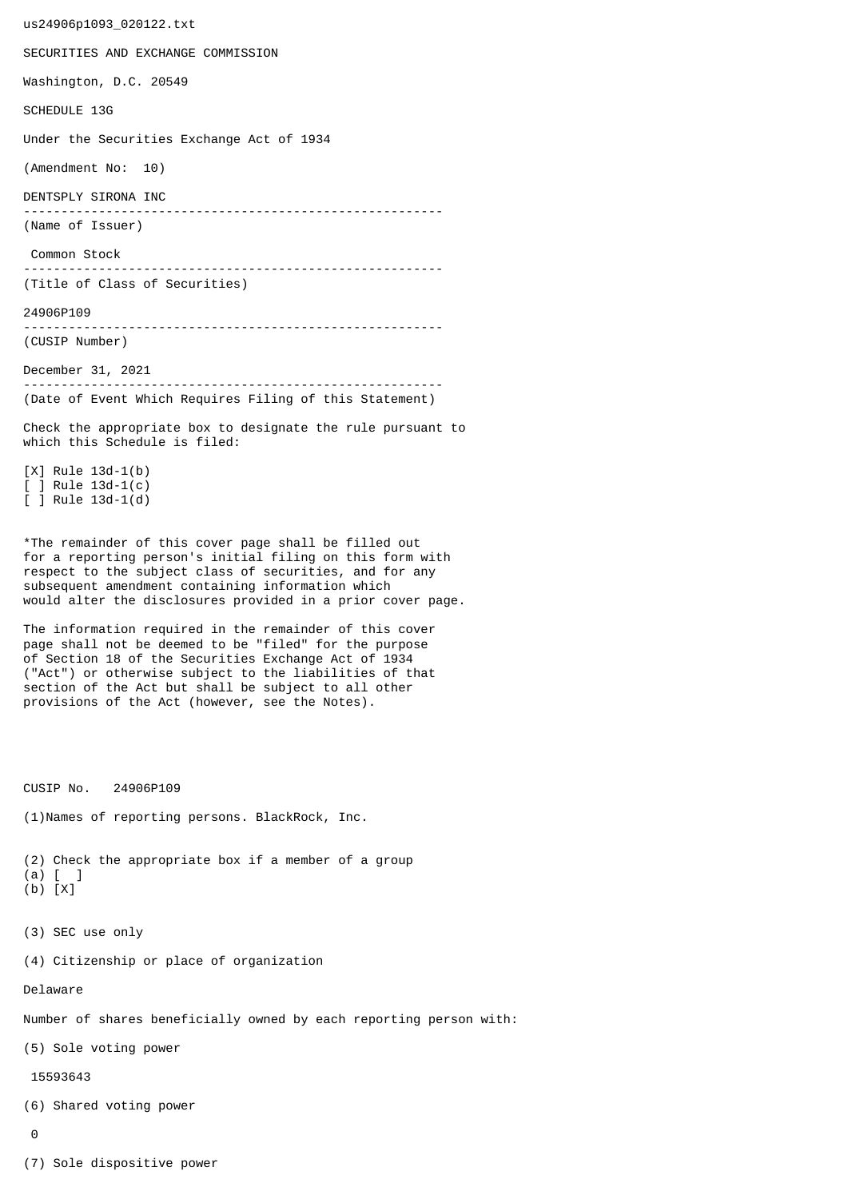us24906p1093\_020122.txt SECURITIES AND EXCHANGE COMMISSION Washington, D.C. 20549 SCHEDULE 13G Under the Securities Exchange Act of 1934 (Amendment No: 10) DENTSPLY SIRONA INC -------------------------------------------------------- (Name of Issuer) Common Stock -------------------------------------------------------- (Title of Class of Securities) 24906P109 -------------------------------------------------------- (CUSIP Number) December 31, 2021 -------------------------------------------------------- (Date of Event Which Requires Filing of this Statement) Check the appropriate box to designate the rule pursuant to which this Schedule is filed: [X] Rule 13d-1(b) [ ] Rule 13d-1(c) [ ] Rule 13d-1(d) \*The remainder of this cover page shall be filled out for a reporting person's initial filing on this form with respect to the subject class of securities, and for any subsequent amendment containing information which would alter the disclosures provided in a prior cover page. The information required in the remainder of this cover page shall not be deemed to be "filed" for the purpose of Section 18 of the Securities Exchange Act of 1934 ("Act") or otherwise subject to the liabilities of that section of the Act but shall be subject to all other provisions of the Act (however, see the Notes). CUSIP No. 24906P109 (1)Names of reporting persons. BlackRock, Inc. (2) Check the appropriate box if a member of a group (a) [ ] (b) [X] (3) SEC use only (4) Citizenship or place of organization Delaware Number of shares beneficially owned by each reporting person with: (5) Sole voting power 15593643 (6) Shared voting power  $\Omega$ 

(7) Sole dispositive power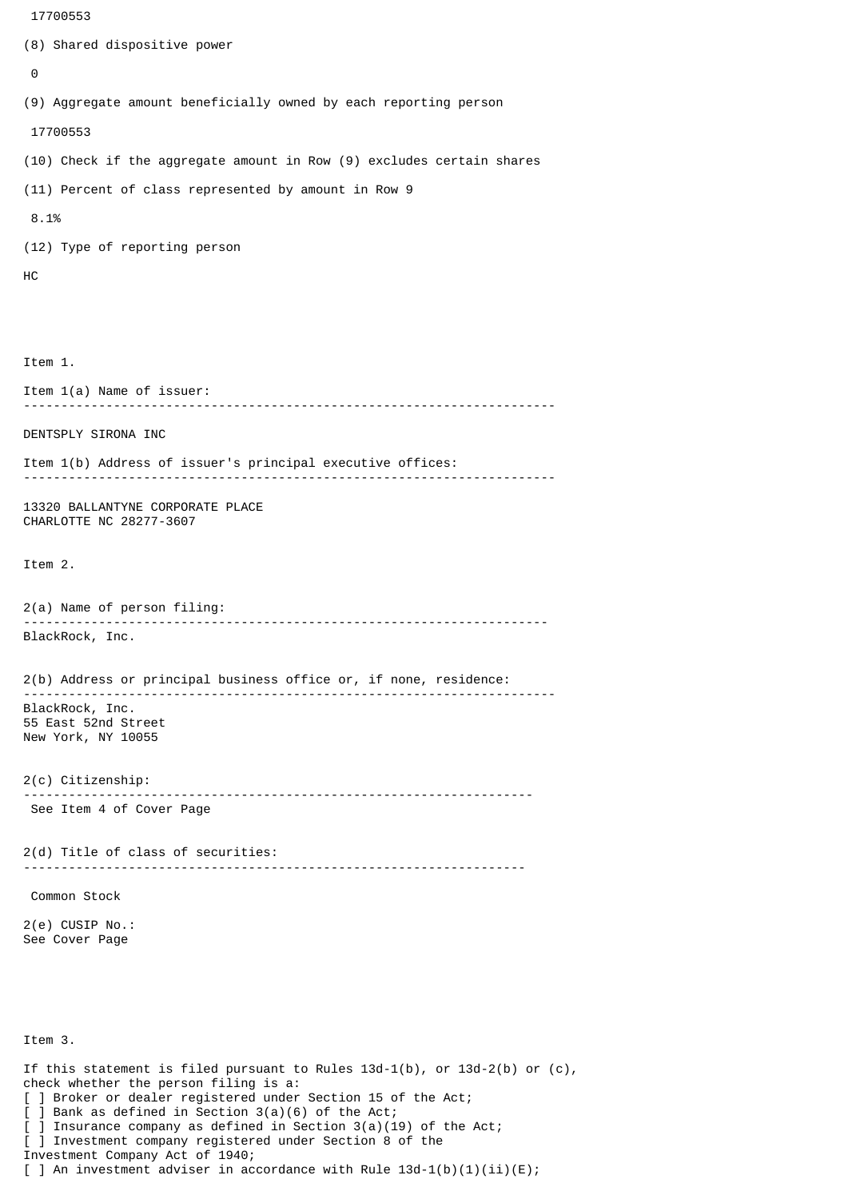```
 17700553
(8) Shared dispositive power
 \boldsymbol{\Theta}(9) Aggregate amount beneficially owned by each reporting person
  17700553
(10) Check if the aggregate amount in Row (9) excludes certain shares
(11) Percent of class represented by amount in Row 9
 8.1%
(12) Type of reporting person
HC
Item 1.
Item 1(a) Name of issuer:
           -----------------------------------------------------------------------
DENTSPLY SIRONA INC
Item 1(b) Address of issuer's principal executive offices:
-----------------------------------------------------------------------
13320 BALLANTYNE CORPORATE PLACE
CHARLOTTE NC 28277-3607
Item 2.
2(a) Name of person filing:
               ----------------------------------------------------------------------
BlackRock, Inc.
2(b) Address or principal business office or, if none, residence:
 -----------------------------------------------------------------------
BlackRock, Inc.
55 East 52nd Street
New York, NY 10055
2(c) Citizenship:
                            --------------------------------------------------------------------
 See Item 4 of Cover Page
2(d) Title of class of securities:
                                       -------------------------------------------------------------------
 Common Stock
2(e) CUSIP No.:
See Cover Page
Item 3.
If this statement is filed pursuant to Rules 13d-1(b), or 13d-2(b) or (c),
check whether the person filing is a:
[ ] Broker or dealer registered under Section 15 of the Act;
```
[ ] Bank as defined in Section 3(a)(6) of the Act;

Investment Company Act of 1940;

[ ] Investment company registered under Section 8 of the

] Insurance company as defined in Section  $3(a)(19)$  of the Act;

[ ] An investment adviser in accordance with Rule  $13d-1(b)(1)(ii)(E)$ ;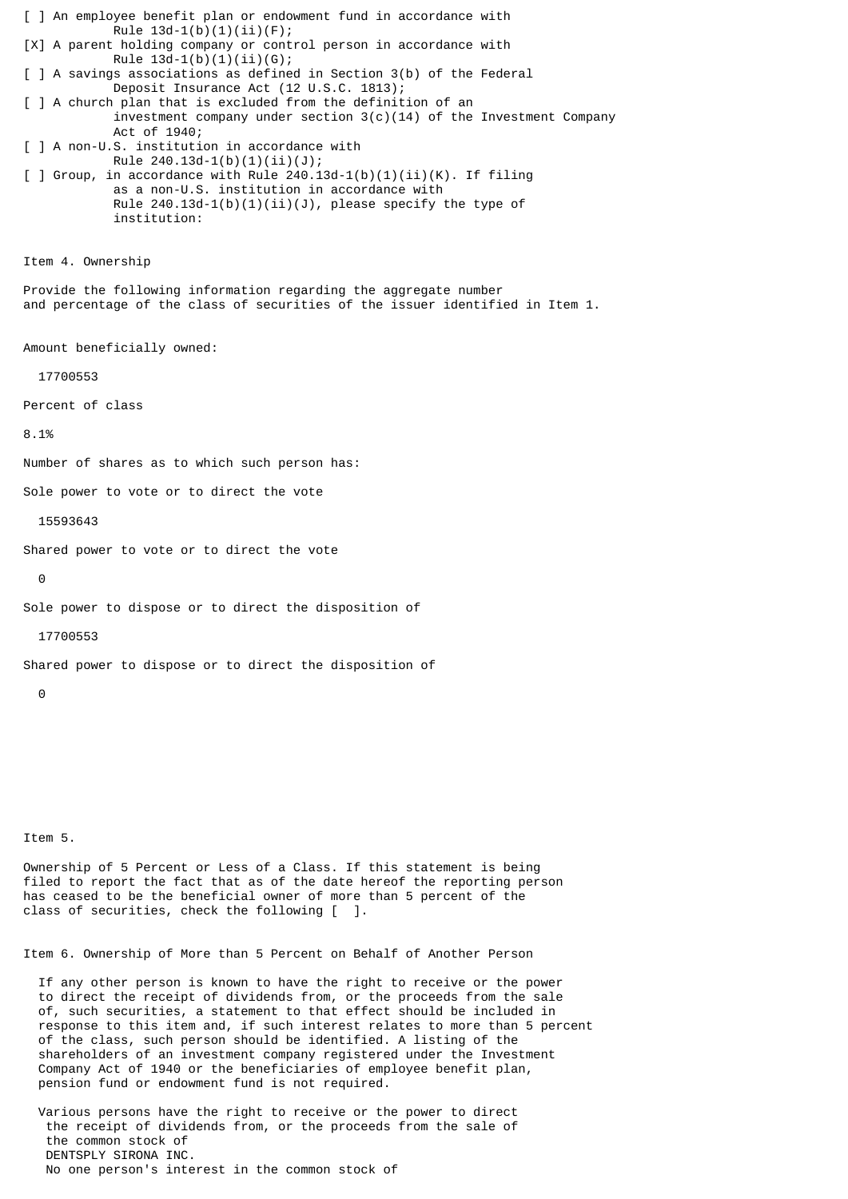[ ] An employee benefit plan or endowment fund in accordance with Rule  $13d-1(b)(1)(ii)(F);$ [X] A parent holding company or control person in accordance with Rule  $13d-1(b)(1)(ii)(G);$ [ ] A savings associations as defined in Section 3(b) of the Federal Deposit Insurance Act (12 U.S.C. 1813); [ ] A church plan that is excluded from the definition of an investment company under section  $3(c)(14)$  of the Investment Company Act of 1940; [ ] A non-U.S. institution in accordance with Rule 240.13d-1(b)(1)(ii)(J);  $\lceil$  ] Group, in accordance with Rule 240.13d-1(b)(1)(ii)(K). If filing as a non-U.S. institution in accordance with Rule  $240.13d-1(b)(1)(ii)(J)$ , please specify the type of institution: Item 4. Ownership Provide the following information regarding the aggregate number and percentage of the class of securities of the issuer identified in Item 1. Amount beneficially owned: 17700553 Percent of class 8.1% Number of shares as to which such person has: Sole power to vote or to direct the vote 15593643 Shared power to vote or to direct the vote

 $\Theta$ 

Sole power to dispose or to direct the disposition of

17700553

Shared power to dispose or to direct the disposition of

 $\Omega$ 

Item 5.

Ownership of 5 Percent or Less of a Class. If this statement is being filed to report the fact that as of the date hereof the reporting person has ceased to be the beneficial owner of more than 5 percent of the class of securities, check the following [ ].

Item 6. Ownership of More than 5 Percent on Behalf of Another Person

 If any other person is known to have the right to receive or the power to direct the receipt of dividends from, or the proceeds from the sale of, such securities, a statement to that effect should be included in response to this item and, if such interest relates to more than 5 percent of the class, such person should be identified. A listing of the shareholders of an investment company registered under the Investment Company Act of 1940 or the beneficiaries of employee benefit plan, pension fund or endowment fund is not required.

 Various persons have the right to receive or the power to direct the receipt of dividends from, or the proceeds from the sale of the common stock of DENTSPLY SIRONA INC. No one person's interest in the common stock of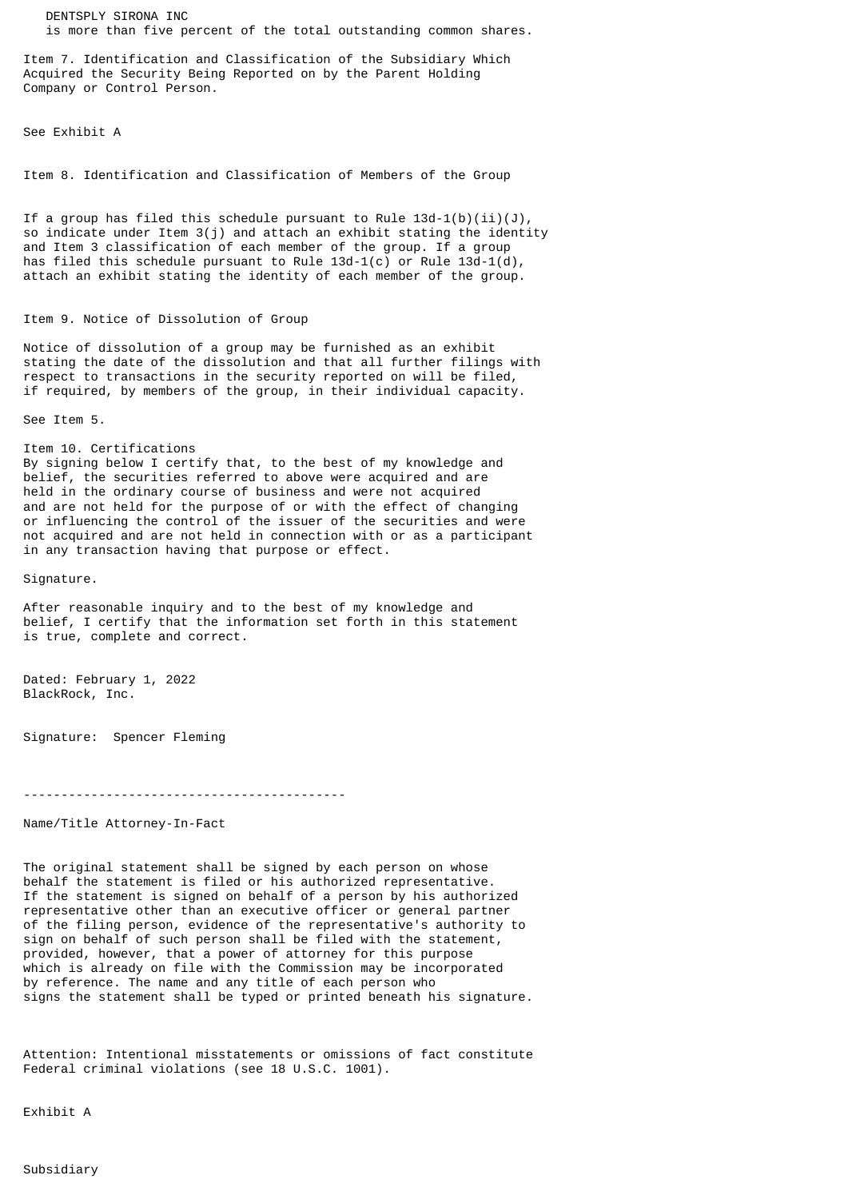DENTSPLY SIRONA INC is more than five percent of the total outstanding common shares.

Item 7. Identification and Classification of the Subsidiary Which Acquired the Security Being Reported on by the Parent Holding Company or Control Person.

See Exhibit A

Item 8. Identification and Classification of Members of the Group

If a group has filed this schedule pursuant to Rule  $13d-1(b)(ii)(J)$ , so indicate under Item 3(j) and attach an exhibit stating the identity and Item 3 classification of each member of the group. If a group has filed this schedule pursuant to Rule  $13d-1(c)$  or Rule  $13d-1(d)$ , attach an exhibit stating the identity of each member of the group.

## Item 9. Notice of Dissolution of Group

Notice of dissolution of a group may be furnished as an exhibit stating the date of the dissolution and that all further filings with respect to transactions in the security reported on will be filed, if required, by members of the group, in their individual capacity.

See Item 5.

Item 10. Certifications By signing below I certify that, to the best of my knowledge and belief, the securities referred to above were acquired and are held in the ordinary course of business and were not acquired and are not held for the purpose of or with the effect of changing or influencing the control of the issuer of the securities and were not acquired and are not held in connection with or as a participant

in any transaction having that purpose or effect.

Signature.

After reasonable inquiry and to the best of my knowledge and belief, I certify that the information set forth in this statement is true, complete and correct.

Dated: February 1, 2022 BlackRock, Inc.

Signature: Spencer Fleming

-------------------------------------------

Name/Title Attorney-In-Fact

The original statement shall be signed by each person on whose behalf the statement is filed or his authorized representative. If the statement is signed on behalf of a person by his authorized representative other than an executive officer or general partner of the filing person, evidence of the representative's authority to sign on behalf of such person shall be filed with the statement, provided, however, that a power of attorney for this purpose which is already on file with the Commission may be incorporated by reference. The name and any title of each person who signs the statement shall be typed or printed beneath his signature.

Attention: Intentional misstatements or omissions of fact constitute Federal criminal violations (see 18 U.S.C. 1001).

Exhibit A